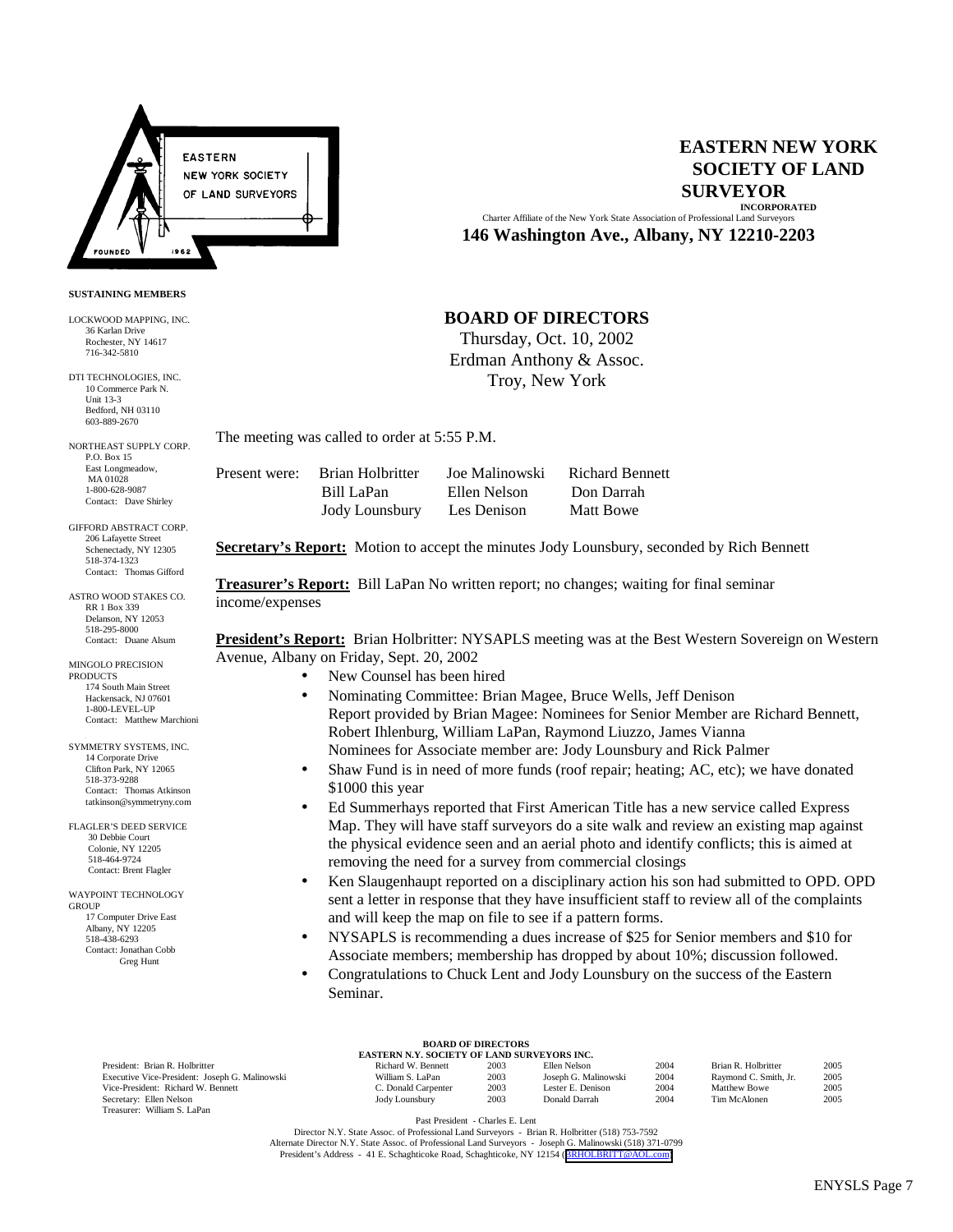

**SUSTAINING MEMBERS** LOCKWOOD MAPPING, INC. 36 Karlan Drive Rochester, NY 14617 716-342-5810 DTI TECHNOLOGIES, INC. 10 Commerce Park N. Unit 13-3 Bedford, NH 03110 603-889-2670 NORTHEAST SUPPLY CORP. P.O. Box 15 East Longmeadow, MA 01028 1-800-628-9087 Contact: Dave Shirley GIFFORD ABSTRACT CORP. 206 Lafayette Street Schenectady, NY 12305 518-374-1323 Contact: Thomas Gifford ASTRO WOOD STAKES CO. RR 1 Box 339 Delanson, NY 12053 518-295-8000 Contact: Duane Alsum MINGOLO PRECISION **PRODUCTS** 

174 South Main Street Hackensack, NJ 07601 1-800-LEVEL-UP Contact: Matthew Marchioni SYMMETRY SYSTEMS, INC. 14 Corporate Drive Clifton Park, NY 12065 518-373-9288 Contact: Thomas Atkinson tatkinson@symmetryny.com FLAGLER'S DEED SERVICE 30 Debbie Court Colonie, NY 12205 518-464-9724 Contact: Brent Flagler WAYPOINT TECHNOLOGY

**GROUP** 

 17 Computer Drive East Albany, NY 12205 518-438-6293 Contact: Jonathan Cobb Greg Hunt

## **EASTERN NEW YORK SOCIETY OF LAND SURVEYOR INCORPORATED**

Charter Affiliate of the New York State Association of Professional Land Surveyors **146 Washington Ave., Albany, NY 12210-2203**

# **BOARD OF DIRECTORS**

Thursday, Oct. 10, 2002 Erdman Anthony & Assoc. Troy, New York

The meeting was called to order at 5:55 P.M.

| Present were: Brian Holbritter | Joe Malinowski | <b>Richard Bennett</b> |
|--------------------------------|----------------|------------------------|
| Bill LaPan                     | Ellen Nelson   | Don Darrah             |
| Jody Lounsbury                 | Les Denison    | Matt Bowe              |

**Secretary's Report:** Motion to accept the minutes Jody Lounsbury, seconded by Rich Bennett

**Treasurer's Report:** Bill LaPan No written report; no changes; waiting for final seminar income/expenses

**President's Report:** Brian Holbritter: NYSAPLS meeting was at the Best Western Sovereign on Western Avenue, Albany on Friday, Sept. 20, 2002

- New Counsel has been hired
- Nominating Committee: Brian Magee, Bruce Wells, Jeff Denison Report provided by Brian Magee: Nominees for Senior Member are Richard Bennett, Robert Ihlenburg, William LaPan, Raymond Liuzzo, James Vianna Nominees for Associate member are: Jody Lounsbury and Rick Palmer
- Shaw Fund is in need of more funds (roof repair; heating; AC, etc); we have donated \$1000 this year
- Ed Summerhays reported that First American Title has a new service called Express Map. They will have staff surveyors do a site walk and review an existing map against the physical evidence seen and an aerial photo and identify conflicts; this is aimed at removing the need for a survey from commercial closings
- Ken Slaugenhaupt reported on a disciplinary action his son had submitted to OPD. OPD sent a letter in response that they have insufficient staff to review all of the complaints and will keep the map on file to see if a pattern forms.
- NYSAPLS is recommending a dues increase of \$25 for Senior members and \$10 for Associate members; membership has dropped by about 10%; discussion followed.
- Congratulations to Chuck Lent and Jody Lounsbury on the success of the Eastern Seminar.

Vice-President: Richard W. Bennett Treasurer: William S. LaPan

## **BOARD OF DIRECTORS EASTERN N.Y. SOCIETY OF LAND SURVEYORS INC.**

| <b>EASTERN N.T. SOCIETT OF LAND SURVETORS INC.</b>                                      |                     |      |                      |      |                       |      |
|-----------------------------------------------------------------------------------------|---------------------|------|----------------------|------|-----------------------|------|
| President: Brian R. Holbritter                                                          | Richard W. Bennett  | 2003 | Ellen Nelson         | 2004 | Brian R. Holbritter   | 2005 |
| Executive Vice-President: Joseph G. Malinowski                                          | William S. LaPan    | 2003 | Joseph G. Malinowski | 2004 | Raymond C. Smith, Jr. | 2005 |
| Vice-President: Richard W. Bennett                                                      | C. Donald Carpenter | 2003 | Lester E. Denison    | 2004 | Matthew Bowe          | 2005 |
| Secretary: Ellen Nelson                                                                 | Jody Lounsbury      | 2003 | Donald Darrah        | 2004 | Tim McAlonen          | 2005 |
| $\sim$<br>$\mathbf{v}$ $\mathbf{v}$ $\mathbf{v}$ $\mathbf{v}$ $\mathbf{v}$ $\mathbf{v}$ |                     |      |                      |      |                       |      |

Past President - Charles E. Lent

Director N.Y. State Assoc. of Professional Land Surveyors - Brian R. Holbritter (518) 753-7592 Alternate Director N.Y. State Assoc. of Professional Land Surveyors - Joseph G. Malinowski (518) 371-0799 President's Address - 41 E. Schaghticoke Road, Schaghticoke, NY 12154 ([BRHOLBRITT@AOL.com\)](mailto:BRHOLBRITT@AOL.com)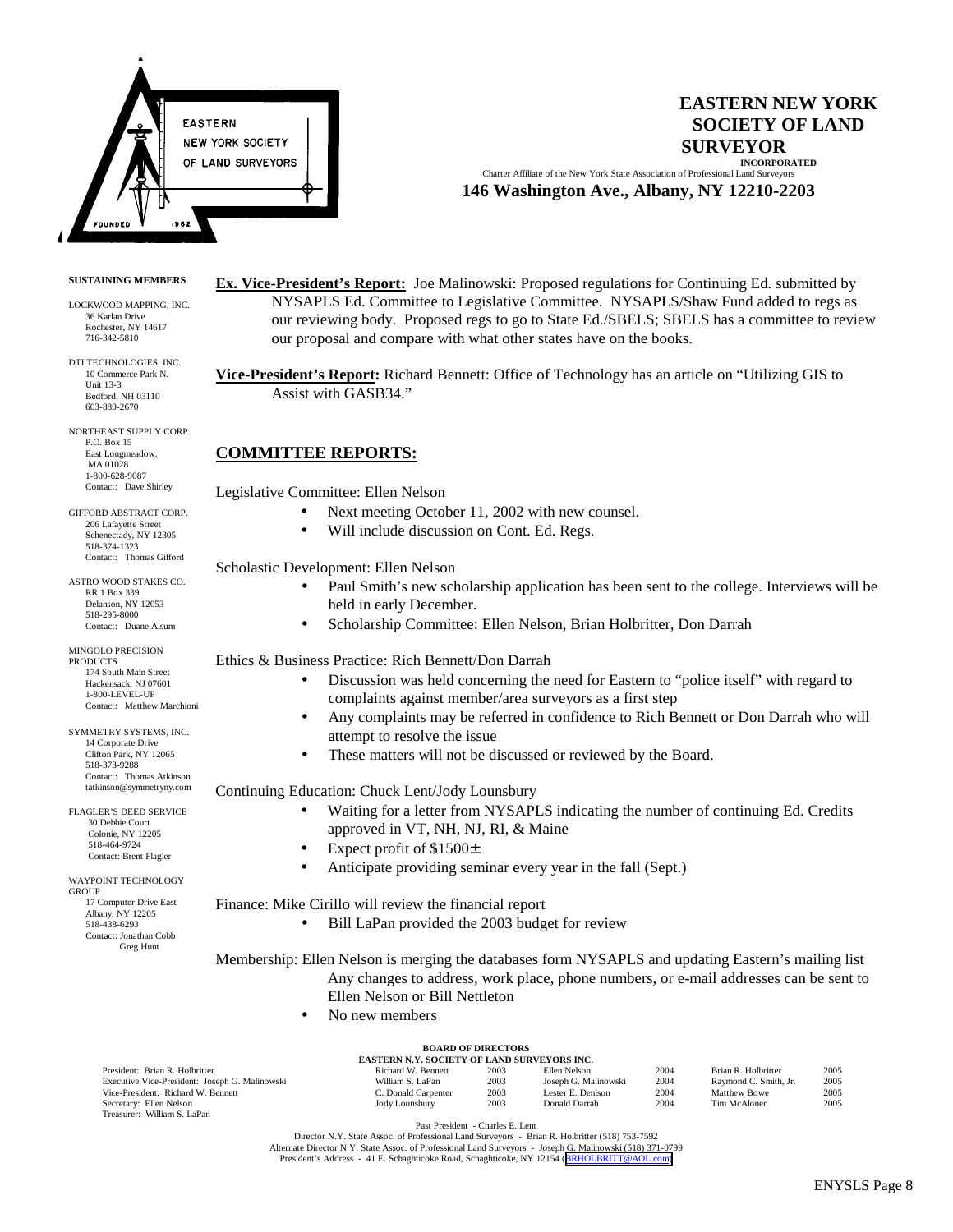

## **EASTERN NEW YORK SOCIETY OF LAND SURVEYOR INCORPORATED**

Charter Affiliate of the New York State Association of Professional Land Surveyors **146 Washington Ave., Albany, NY 12210-2203**

### **SUSTAINING MEMBERS**

LOCKWOOD MAPPING, INC. 36 Karlan Drive Rochester, NY 14617 716-342-5810

DTI TECHNOLOGIES, INC. 10 Commerce Park N. Unit 13-3 Bedford, NH 03110 603-889-2670

NORTHEAST SUPPLY CORP. P.O. Box 15 East Longmeadow, MA 01028 1-800-628-9087 Contact: Dave Shirley

GIFFORD ABSTRACT CORP. 206 Lafayette Street Schenectady, NY 12305 518-374-1323 Contact: Thomas Gifford

ASTRO WOOD STAKES CO. RR 1 Box 339 Delanson, NY 12053 518-295-8000 Contact: Duane Alsum

MINGOLO PRECISION PRODUCTS 174 South Main Street Hackensack, NJ 07601 1-800-LEVEL-UP Contact: Matthew Marchioni

3 SYMMETRY SYSTEMS, INC. 14 Corporate Drive Clifton Park, NY 12065 518-373-9288 Contact: Thomas Atkinson tatkinson@symmetryny.com

FLAGLER'S DEED SERVICE 30 Debbie Court Colonie, NY 12205 518-464-9724 Contact: Brent Flagler

WAYPOINT TECHNOLOGY **GROUP**  17 Computer Drive East Albany, NY 12205 518-438-6293 Contact: Jonathan Cobb Greg Hunt

> Executive Vice-President: Joseph G. Malinow Vice-President: Richard W. Bennett Secretary: Ellen Nelson Treasurer: William S. LaPan

**Ex. Vice-President's Report:** Joe Malinowski: Proposed regulations for Continuing Ed. submitted by NYSAPLS Ed. Committee to Legislative Committee. NYSAPLS/Shaw Fund added to regs as our reviewing body. Proposed regs to go to State Ed./SBELS; SBELS has a committee to review our proposal and compare with what other states have on the books.

**Vice-President's Report:** Richard Bennett: Office of Technology has an article on "Utilizing GIS to Assist with GASB34."

## **COMMITTEE REPORTS:**

Legislative Committee: Ellen Nelson

- Next meeting October 11, 2002 with new counsel.
- Will include discussion on Cont. Ed. Regs.

Scholastic Development: Ellen Nelson

- Paul Smith's new scholarship application has been sent to the college. Interviews will be held in early December.
- Scholarship Committee: Ellen Nelson, Brian Holbritter, Don Darrah

Ethics & Business Practice: Rich Bennett/Don Darrah

- Discussion was held concerning the need for Eastern to "police itself" with regard to complaints against member/area surveyors as a first step
- Any complaints may be referred in confidence to Rich Bennett or Don Darrah who will attempt to resolve the issue
- These matters will not be discussed or reviewed by the Board.

Continuing Education: Chuck Lent/Jody Lounsbury

- Waiting for a letter from NYSAPLS indicating the number of continuing Ed. Credits approved in VT, NH, NJ, RI, & Maine
- Expect profit of \$1500±
- Anticipate providing seminar every year in the fall (Sept.)

Finance: Mike Cirillo will review the financial report

• Bill LaPan provided the 2003 budget for review

Membership: Ellen Nelson is merging the databases form NYSAPLS and updating Eastern's mailing list Any changes to address, work place, phone numbers, or e-mail addresses can be sent to Ellen Nelson or Bill Nettleton

• No new members

| <b>BOARD OF DIRECTORS</b>               |  |
|-----------------------------------------|--|
| ACTEDN N V-CACIETY AE I AND CHDVEVADC H |  |

| <b>EASTERN N.Y. SOCIETY OF LAND SURVEYORS INC.</b>                                                                                                                                                                             |                     |      |                      |      |                       |      |
|--------------------------------------------------------------------------------------------------------------------------------------------------------------------------------------------------------------------------------|---------------------|------|----------------------|------|-----------------------|------|
| President: Brian R. Holbritter                                                                                                                                                                                                 | Richard W. Bennett  | 2003 | Ellen Nelson         | 2004 | Brian R. Holbritter   | 2005 |
| Executive Vice-President: Joseph G. Malinowski                                                                                                                                                                                 | William S. LaPan    | 2003 | Joseph G. Malinowski | 2004 | Raymond C. Smith, Jr. | 2005 |
| Vice-President: Richard W. Bennett                                                                                                                                                                                             | C. Donald Carpenter | 2003 | Lester E. Denison    | 2004 | Matthew Bowe          | 2005 |
| Secretary: Ellen Nelson                                                                                                                                                                                                        | Jody Lounsbury      | 2003 | Donald Darrah        | 2004 | Tim McAlonen          | 2005 |
| - 1111 - 112 - 123 - 124 - 125 - 126 - 127 - 128 - 129 - 129 - 129 - 129 - 129 - 129 - 129 - 129 - 129 - 129 - 129 - 129 - 129 - 129 - 129 - 129 - 129 - 129 - 129 - 129 - 129 - 129 - 129 - 129 - 129 - 129 - 129 - 129 - 129 |                     |      |                      |      |                       |      |

Past President - Charles E. Lent

Director N.Y. State Assoc. of Professional Land Surveyors - Brian R. Holbritter (518) 753-7592 Alternate Director N.Y. State Assoc. of Professional Land Surveyors - Joseph G. Malinowski (518) 371-0799 President's Address - 41 E. Schaghticoke Road, Schaghticoke, NY 12154 ([BRHOLBRITT@AOL.com\)](mailto:BRHOLBRITT@AOL.com)